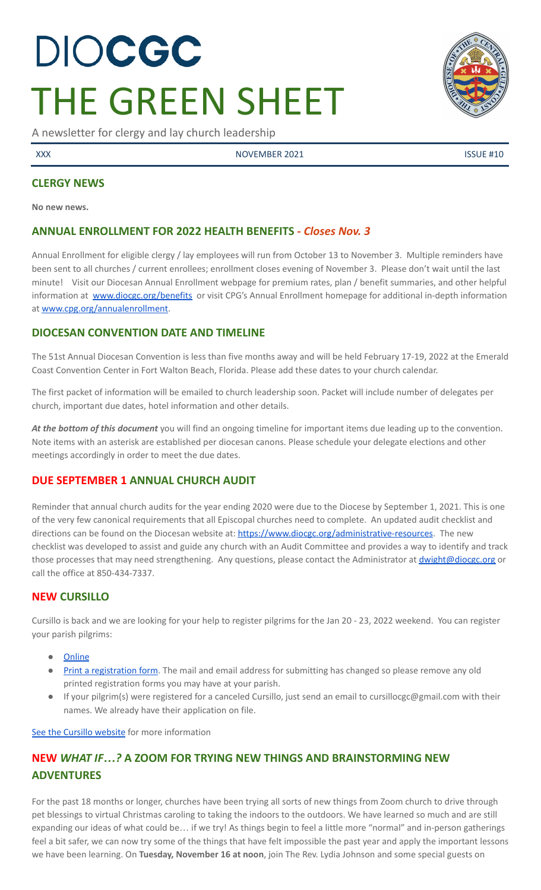# DIOCGC THE GREEN SHEET

A newsletter for clergy and lay church leadership

XXX NOVEMBER 2021 ISSUE #10

### **CLERGY NEWS**

**No new news.**

# **ANNUAL ENROLLMENT FOR 2022 HEALTH BENEFITS** *- Closes Nov. 3*

Annual Enrollment for eligible clergy / lay employees will run from October 13 to November 3. Multiple reminders have been sent to all churches / current enrollees; enrollment closes evening of November 3. Please don't wait until the last minute! Visit our Diocesan Annual Enrollment webpage for premium rates, plan / benefit summaries, and other helpful information at [www.diocgc.org/benefits](http://www.diocgc.org/benefits) or visit CPG's Annual Enrollment homepage for additional in-depth information at [www.cpg.org/annualenrollment](http://www.cpg.org/annualenrollment).

# **DIOCESAN CONVENTION DATE AND TIMELINE**

The 51st Annual Diocesan Convention is less than five months away and will be held February 17-19, 2022 at the Emerald Coast Convention Center in Fort Walton Beach, Florida. Please add these dates to your church calendar.

The first packet of information will be emailed to church leadership soon. Packet will include number of delegates per church, important due dates, hotel information and other details.

*At the bottom of this document* you will find an ongoing timeline for important items due leading up to the convention. Note items with an asterisk are established per diocesan canons. Please schedule your delegate elections and other meetings accordingly in order to meet the due dates.

# **DUE SEPTEMBER 1 ANNUAL CHURCH AUDIT**

Reminder that annual church audits for the year ending 2020 were due to the Diocese by September 1, 2021. This is one of the very few canonical requirements that all Episcopal churches need to complete. An updated audit checklist and directions can be found on the Diocesan website at: [https://www.diocgc.org/administrative-resources.](https://www.diocgc.org/administrative-resources) The new checklist was developed to assist and guide any church with an Audit Committee and provides a way to identify and track those processes that may need strengthening. Any questions, please contact the Administrator at *[dwight@diocgc.org](mailto:dwight@diocgc.org)* or call the office at 850-434-7337.

# **NEW CURSILLO**

Cursillo is back and we are looking for your help to register pilgrims for the Jan 20 - 23, 2022 weekend. You can register your parish pilgrims:

- [Online](https://docs.google.com/forms/d/e/1FAIpQLScpSHTPvKUxhVdUKIjzqbMgf_QeG6WgOD3SFtJzcD57t42tkg/viewform)
- Print a [registration](https://www.coastalpilgrims.com/uploads/5/9/0/4/5904702/pilgrim_application-10-15-2021__1_.pdf) form. The mail and email address for submitting has changed so please remove any old printed registration forms you may have at your parish.
- If your pilgrim(s) were registered for a canceled Cursillo, just send an email to cursillocgc@gmail.com with their names. We already have their application on file.

See the Cursillo [website](https://www.coastalpilgrims.com/) for more information

# **NEW** *WHAT IF…?* **A ZOOM FOR TRYING NEW THINGS AND BRAINSTORMING NEW ADVENTURES**

For the past 18 months or longer, churches have been trying all sorts of new things from Zoom church to drive through pet blessings to virtual Christmas caroling to taking the indoors to the outdoors. We have learned so much and are still expanding our ideas of what could be… if we try! As things begin to feel a little more "normal" and in-person gatherings feel a bit safer, we can now try some of the things that have felt impossible the past year and apply the important lessons we have been learning. On **Tuesday, November 16 at noon**, join The Rev. Lydia Johnson and some special guests on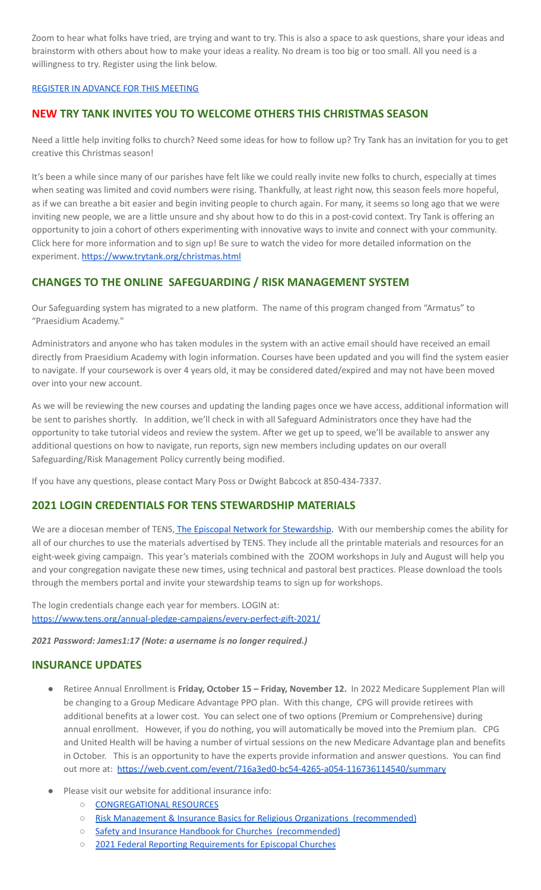Zoom to hear what folks have tried, are trying and want to try. This is also a space to ask questions, share your ideas and brainstorm with others about how to make your ideas a reality. No dream is too big or too small. All you need is a willingness to try. Register using the link below.

#### REGISTER IN [ADVANCE](https://us02web.zoom.us/meeting/register/tZEtd-6pqDsoGNdoSYm9H3MKb3A1Lz9KlM0N) FOR THIS MEETING

# **NEW TRY TANK INVITES YOU TO WELCOME OTHERS THIS CHRISTMAS SEASON**

Need a little help inviting folks to church? Need some ideas for how to follow up? Try Tank has an invitation for you to get creative this Christmas season!

It's been a while since many of our parishes have felt like we could really invite new folks to church, especially at times when seating was limited and covid numbers were rising. Thankfully, at least right now, this season feels more hopeful, as if we can breathe a bit easier and begin inviting people to church again. For many, it seems so long ago that we were inviting new people, we are a little unsure and shy about how to do this in a post-covid context. Try Tank is offering an opportunity to join a cohort of others experimenting with innovative ways to invite and connect with your community. Click here for more information and to sign up! Be sure to watch the video for more detailed information on the experiment. <https://www.trytank.org/christmas.html>

# **CHANGES TO THE ONLINE SAFEGUARDING / RISK MANAGEMENT SYSTEM**

Our Safeguarding system has migrated to a new platform. The name of this program changed from "Armatus" to "Praesidium Academy."

Administrators and anyone who has taken modules in the system with an active email should have received an email directly from Praesidium Academy with login information. Courses have been updated and you will find the system easier to navigate. If your coursework is over 4 years old, it may be considered dated/expired and may not have been moved over into your new account.

As we will be reviewing the new courses and updating the landing pages once we have access, additional information will be sent to parishes shortly. In addition, we'll check in with all Safeguard Administrators once they have had the opportunity to take tutorial videos and review the system. After we get up to speed, we'll be available to answer any additional questions on how to navigate, run reports, sign new members including updates on our overall Safeguarding/Risk Management Policy currently being modified.

If you have any questions, please contact Mary Poss or Dwight Babcock at 850-434-7337.

# **2021 LOGIN CREDENTIALS FOR TENS STEWARDSHIP MATERIALS**

We are a diocesan member of TENS, The Episcopal Network for [Stewardship.](https://www.tens.org/) With our membership comes the ability for all of our churches to use the materials advertised by TENS. They include all the printable materials and resources for an eight-week giving campaign. This year's materials combined with the ZOOM workshops in July and August will help you and your congregation navigate these new times, using technical and pastoral best practices. Please download the tools through the members portal and invite your stewardship teams to sign up for workshops.

The login credentials change each year for members. LOGIN at: <https://www.tens.org/annual-pledge-campaigns/every-perfect-gift-2021/>

*2021 Password: James1:17 (Note: a username is no longer required.)*

#### **INSURANCE UPDATES**

- Retiree Annual Enrollment is **Friday, October 15 – Friday, November 12.** In 2022 Medicare Supplement Plan will be changing to a Group Medicare Advantage PPO plan. With this change, CPG will provide retirees with additional benefits at a lower cost. You can select one of two options (Premium or Comprehensive) during annual enrollment. However, if you do nothing, you will automatically be moved into the Premium plan. CPG and United Health will be having a number of virtual sessions on the new Medicare Advantage plan and benefits in October. This is an opportunity to have the experts provide information and answer questions. You can find out more at: <https://web.cvent.com/event/716a3ed0-bc54-4265-a054-116736114540/summary>
- Please visit our website for additional insurance info:
	- [CONGREGATIONAL](https://www.diocgc.org/congregational-resources) RESOURCES
	- Risk Management & Insurance Basics for Religious Organizations [\(recommended\)](https://2f23db9c-81c0-437f-88c1-0d3b99fdb03d.filesusr.com/ugd/ca270f_0fc945a39bad470191c4075c97602c08.pdf)
	- Safety and Insurance Handbook for Churches [\(recommended\)](https://2f23db9c-81c0-437f-88c1-0d3b99fdb03d.filesusr.com/ugd/4525a9_6b89020a60b040f49e2f7feb44b56873.pdf)
	- 2021 Federal Reporting [Requirements](https://www.cpg.org/globalassets/documents/publications/tax-2021-federal-reporting-requirements-for-episcopal-churches.pdf) for Episcopal Churches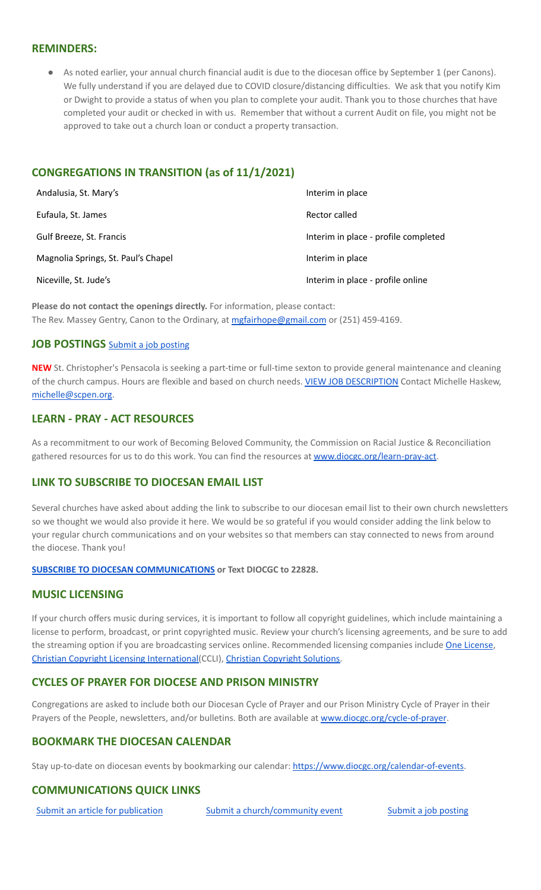#### **REMINDERS:**

● As noted earlier, your annual church financial audit is due to the diocesan office by September 1 (per Canons). We fully understand if you are delayed due to COVID closure/distancing difficulties. We ask that you notify Kim or Dwight to provide a status of when you plan to complete your audit. Thank you to those churches that have completed your audit or checked in with us. Remember that without a current Audit on file, you might not be approved to take out a church loan or conduct a property transaction.

# **CONGREGATIONS IN TRANSITION (as of 11/1/2021)**

| Andalusia, St. Mary's               | Interim in place                     |
|-------------------------------------|--------------------------------------|
| Eufaula, St. James                  | Rector called                        |
| Gulf Breeze, St. Francis            | Interim in place - profile completed |
| Magnolia Springs, St. Paul's Chapel | Interim in place                     |
| Niceville, St. Jude's               | Interim in place - profile online    |

**Please do not contact the openings directly.** For information, please contact: The Rev. Massey Gentry, Canon to the Ordinary, at [mgfairhope@gmail.com](mailto:mgfairhope@gmail.com) or (251) 459-4169.

### **JOB POSTINGS** Submit a job [posting](https://www.emailmeform.com/builder/form/0cZqC653GdH24p01aWQDfUh)

**NEW** St. Christopher's Pensacola is seeking a part-time or full-time sexton to provide general maintenance and cleaning of the church campus. Hours are flexible and based on church needs. VIEW JOB [DESCRIPTION](https://files.emailmeform.com/1482157/Qe0mzjRn/Sexton%20Job%20Description.docx) Contact Michelle Haskew, [michelle@scpen.org.](mailto:michelle@scpen.org)

# **LEARN - PRAY - ACT RESOURCES**

As a recommitment to our work of Becoming Beloved Community, the Commission on Racial Justice & Reconciliation gathered resources for us to do this work. You can find the resources at [www.diocgc.org/learn-pray-act.](http://www.diocgcorg/learn-pray-act)

#### **LINK TO SUBSCRIBE TO DIOCESAN EMAIL LIST**

Several churches have asked about adding the link to subscribe to our diocesan email list to their own church newsletters so we thought we would also provide it here. We would be so grateful if you would consider adding the link below to your regular church communications and on your websites so that members can stay connected to news from around the diocese. Thank you!

#### **SUBSCRIBE TO DIOCESAN [COMMUNICATIONS](https://visitor.r20.constantcontact.com/manage/optin?v=001ytzJgXCdPi7CMeRPYjkgWfph8ra8dQJmJ_jgoEJDuFPyjC3HarXiwlhH4JN80K9kNItCddcGgXt-VrglBC4Vvq3YhpG1ym5vnWRlozzk8WJwXJycFplGhx-zzZ96rxkiXY6YLv6vWkWPagBVarHUDKt3SmSUagqj) or Text DIOCGC to 22828.**

# **MUSIC LICENSING**

If your church offers music during services, it is important to follow all copyright guidelines, which include maintaining a license to perform, broadcast, or print copyrighted music. Review your church's licensing agreements, and be sure to add the streaming option if you are broadcasting services online. Recommended licensing companies include One [License](https://onelicense.net/), Christian Copyright Licensing [International\(](https://us.ccli.com/)CCLI), Christian [Copyright](https://christiancopyrightsolutions.com/) Solutions.

# **CYCLES OF PRAYER FOR DIOCESE AND PRISON MINISTRY**

Congregations are asked to include both our Diocesan Cycle of Prayer and our Prison Ministry Cycle of Prayer in their Prayers of the People, newsletters, and/or bulletins. Both are available at [www.diocgc.org/cycle-of-prayer](http://www.diocgc.org/cycle-of-prayer).

#### **BOOKMARK THE DIOCESAN CALENDAR**

Stay up-to-date on diocesan events by bookmarking our calendar: [https://www.diocgc.org/calendar-of-events.](https://www.diocgc.org/calendar-of-events)

# **COMMUNICATIONS QUICK LINKS**

Submit an article for [publication](http://www.emailmeform.com/builder/form/XqOP984Ae60c8m6ynr) Submit a [church/community](http://www.emailmeform.com/builder/form/eOM4Bb6VTb78y20Wrapf8) event Submit a job [posting](https://www.emailmeform.com/builder/form/0cZqC653GdH24p01aWQDfUh)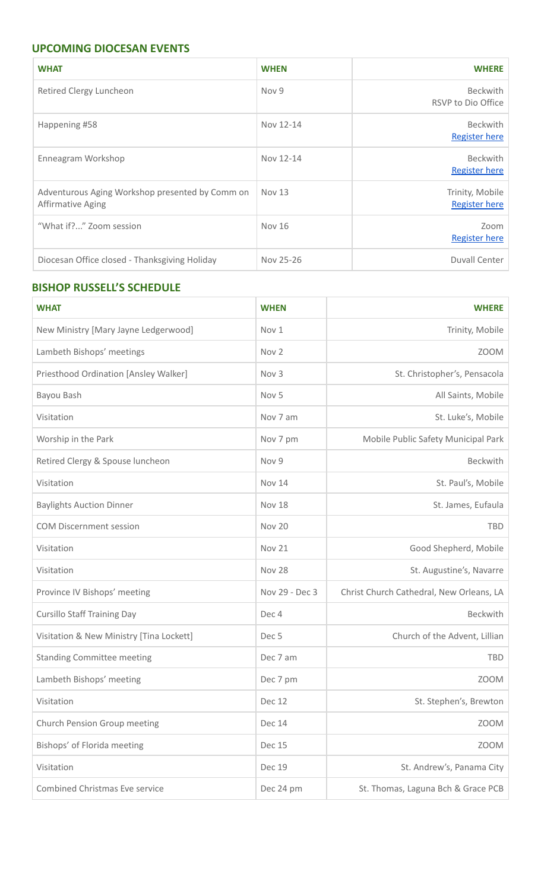# **UPCOMING DIOCESAN EVENTS**

| <b>WHAT</b>                                                          | <b>WHEN</b>   | <b>WHERE</b>                            |
|----------------------------------------------------------------------|---------------|-----------------------------------------|
| Retired Clergy Luncheon                                              | Nov 9         | <b>Beckwith</b><br>RSVP to Dio Office   |
| Happening #58                                                        | Nov 12-14     | <b>Beckwith</b><br><b>Register here</b> |
| Enneagram Workshop                                                   | Nov 12-14     | <b>Beckwith</b><br><b>Register here</b> |
| Adventurous Aging Workshop presented by Comm on<br>Affirmative Aging | <b>Nov 13</b> | Trinity, Mobile<br><b>Register here</b> |
| "What if?" Zoom session                                              | <b>Nov 16</b> | Zoom<br><b>Register here</b>            |
| Diocesan Office closed - Thanksgiving Holiday                        | Nov 25-26     | Duvall Center                           |

# **BISHOP RUSSELL'S SCHEDULE**

| <b>WHAT</b>                              | <b>WHEN</b>      | <b>WHERE</b>                             |  |  |
|------------------------------------------|------------------|------------------------------------------|--|--|
| New Ministry [Mary Jayne Ledgerwood]     | Nov 1            | Trinity, Mobile                          |  |  |
| Lambeth Bishops' meetings                | Nov <sub>2</sub> | <b>ZOOM</b>                              |  |  |
| Priesthood Ordination [Ansley Walker]    | Nov 3            | St. Christopher's, Pensacola             |  |  |
| Bayou Bash                               | Nov 5            | All Saints, Mobile                       |  |  |
| Visitation                               | Nov 7 am         | St. Luke's, Mobile                       |  |  |
| Worship in the Park                      | Nov 7 pm         | Mobile Public Safety Municipal Park      |  |  |
| Retired Clergy & Spouse luncheon         | Nov 9            | Beckwith                                 |  |  |
| Visitation                               | <b>Nov 14</b>    | St. Paul's, Mobile                       |  |  |
| <b>Baylights Auction Dinner</b>          | <b>Nov 18</b>    | St. James, Eufaula                       |  |  |
| <b>COM Discernment session</b>           | Nov 20           | <b>TBD</b>                               |  |  |
| Visitation                               | <b>Nov 21</b>    | Good Shepherd, Mobile                    |  |  |
| Visitation                               | Nov 28           | St. Augustine's, Navarre                 |  |  |
| Province IV Bishops' meeting             | Nov 29 - Dec 3   | Christ Church Cathedral, New Orleans, LA |  |  |
| <b>Cursillo Staff Training Day</b>       | Dec 4            | <b>Beckwith</b>                          |  |  |
| Visitation & New Ministry [Tina Lockett] | Dec <sub>5</sub> | Church of the Advent, Lillian            |  |  |
| <b>Standing Committee meeting</b>        | Dec 7 am         | <b>TBD</b>                               |  |  |
| Lambeth Bishops' meeting                 | Dec 7 pm         | <b>ZOOM</b>                              |  |  |
| Visitation                               | Dec 12           | St. Stephen's, Brewton                   |  |  |
| Church Pension Group meeting             | <b>Dec 14</b>    | <b>ZOOM</b>                              |  |  |
| Bishops' of Florida meeting              | <b>Dec 15</b>    | <b>ZOOM</b>                              |  |  |
| Visitation                               | <b>Dec 19</b>    | St. Andrew's, Panama City                |  |  |
| <b>Combined Christmas Eve service</b>    | Dec 24 pm        | St. Thomas, Laguna Bch & Grace PCB       |  |  |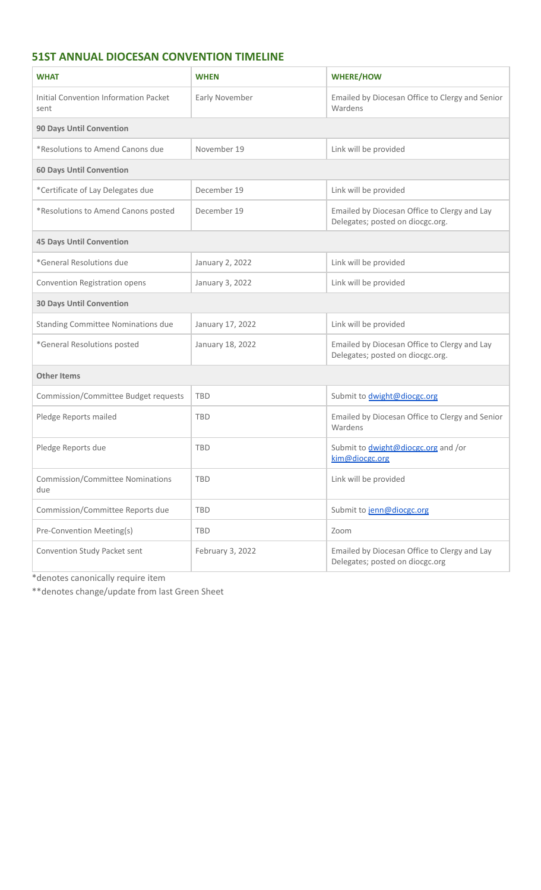# **51ST ANNUAL DIOCESAN CONVENTION TIMELINE**

| <b>WHAT</b>                                          | <b>WHEN</b>      | <b>WHERE/HOW</b>                                                                 |  |  |
|------------------------------------------------------|------------------|----------------------------------------------------------------------------------|--|--|
| <b>Initial Convention Information Packet</b><br>sent | Early November   | Emailed by Diocesan Office to Clergy and Senior<br>Wardens                       |  |  |
| <b>90 Days Until Convention</b>                      |                  |                                                                                  |  |  |
| *Resolutions to Amend Canons due                     | November 19      | Link will be provided                                                            |  |  |
| <b>60 Days Until Convention</b>                      |                  |                                                                                  |  |  |
| *Certificate of Lay Delegates due                    | December 19      | Link will be provided                                                            |  |  |
| *Resolutions to Amend Canons posted                  | December 19      | Emailed by Diocesan Office to Clergy and Lay<br>Delegates; posted on diocgc.org. |  |  |
| <b>45 Days Until Convention</b>                      |                  |                                                                                  |  |  |
| *General Resolutions due                             | January 2, 2022  | Link will be provided                                                            |  |  |
| Convention Registration opens                        | January 3, 2022  | Link will be provided                                                            |  |  |
| <b>30 Days Until Convention</b>                      |                  |                                                                                  |  |  |
| Standing Committee Nominations due                   | January 17, 2022 | Link will be provided                                                            |  |  |
| *General Resolutions posted                          | January 18, 2022 | Emailed by Diocesan Office to Clergy and Lay<br>Delegates; posted on diocgc.org. |  |  |
| <b>Other Items</b>                                   |                  |                                                                                  |  |  |
| Commission/Committee Budget requests                 | <b>TBD</b>       | Submit to <i>dwight@diocgc.org</i>                                               |  |  |
| Pledge Reports mailed                                | <b>TBD</b>       | Emailed by Diocesan Office to Clergy and Senior<br>Wardens                       |  |  |
| Pledge Reports due                                   | <b>TBD</b>       | Submit to <i>dwight@diocgc.org</i> and /or<br>kim@diocgc.org                     |  |  |
| <b>Commission/Committee Nominations</b><br>due       | <b>TBD</b>       | Link will be provided                                                            |  |  |
| Commission/Committee Reports due                     | <b>TBD</b>       | Submit to jenn@diocgc.org                                                        |  |  |
| Pre-Convention Meeting(s)                            | <b>TBD</b>       | Zoom                                                                             |  |  |
| Convention Study Packet sent                         | February 3, 2022 | Emailed by Diocesan Office to Clergy and Lay<br>Delegates; posted on diocgc.org  |  |  |

\*denotes canonically require item

\*\*denotes change/update from last Green Sheet